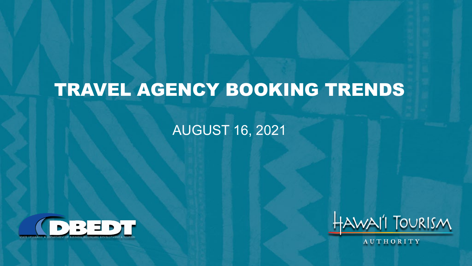# TRAVEL AGENCY BOOKING TRENDS

#### AUGUST 16, 2021





AUTHORITY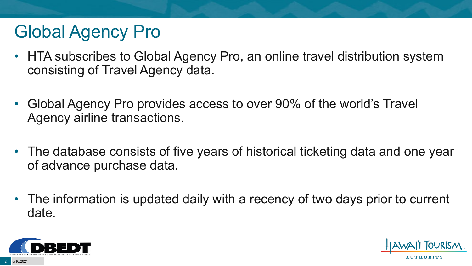# Global Agency Pro

- HTA subscribes to Global Agency Pro, an online travel distribution system consisting of Travel Agency data.
- Global Agency Pro provides access to over 90% of the world's Travel Agency airline transactions.
- The database consists of five years of historical ticketing data and one year of advance purchase data.
- The information is updated daily with a recency of two days prior to current date.



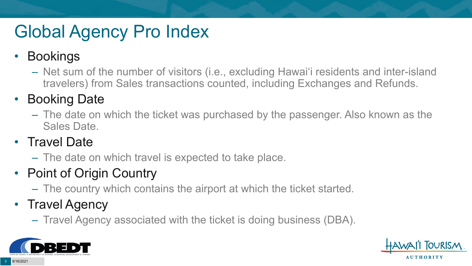# Global Agency Pro Index

#### • Bookings

– Net sum of the number of visitors (i.e., excluding Hawai'i residents and inter-island travelers) from Sales transactions counted, including Exchanges and Refunds.

#### • Booking Date

– The date on which the ticket was purchased by the passenger. Also known as the Sales Date.

#### • Travel Date

– The date on which travel is expected to take place.

#### • Point of Origin Country

– The country which contains the airport at which the ticket started.

#### • Travel Agency

– Travel Agency associated with the ticket is doing business (DBA).



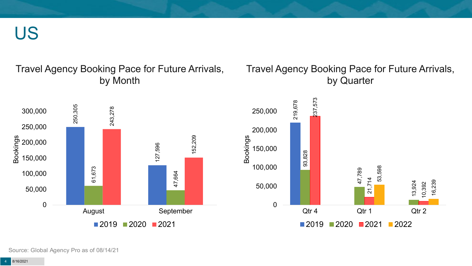US

#### Travel Agency Booking Pace for Future Arrivals, by Month

#### Travel Agency Booking Pace for Future Arrivals, by Quarter





Source: Global Agency Pro as of 08/14/21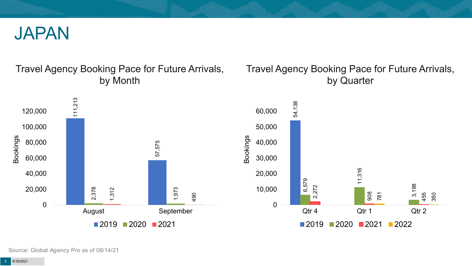

#### Travel Agency Booking Pace for Future Arrivals, by Month

#### Travel Agency Booking Pace for Future Arrivals, by Quarter

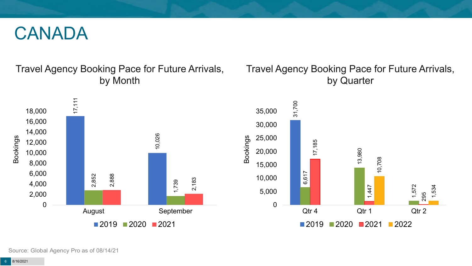#### CANADA

Travel Agency Booking Pace for Future Arrivals, by Month

#### Travel Agency Booking Pace for Future Arrivals, by Quarter





Source: Global Agency Pro as of 08/14/21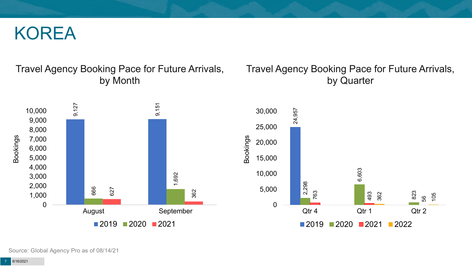#### KOREA

#### Travel Agency Booking Pace for Future Arrivals, by Month

#### Travel Agency Booking Pace for Future Arrivals, by Quarter



Source: Global Agency Pro as of 08/14/21

8/16/2021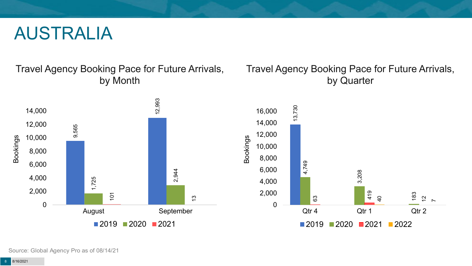#### AUSTRALIA

Travel Agency Booking Pace for Future Arrivals, by Month



#### Travel Agency Booking Pace for Future Arrivals, by Quarter



Source: Global Agency Pro as of 08/14/21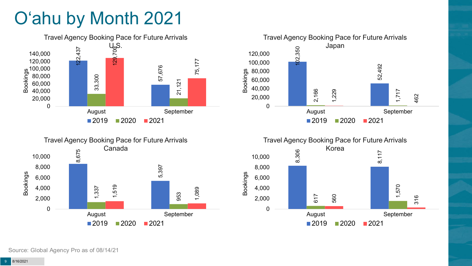# O'ahu by Month 2021







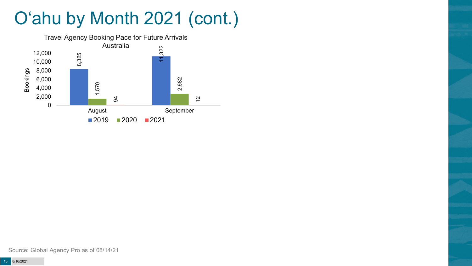# O'ahu by Month 2021 (cont.)

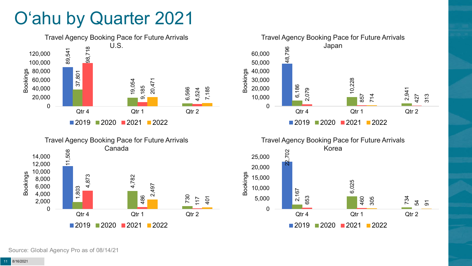## O'ahu by Quarter 2021







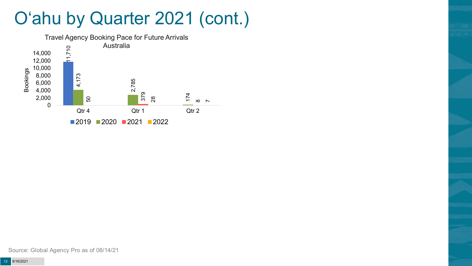### O'ahu by Quarter 2021 (cont.)

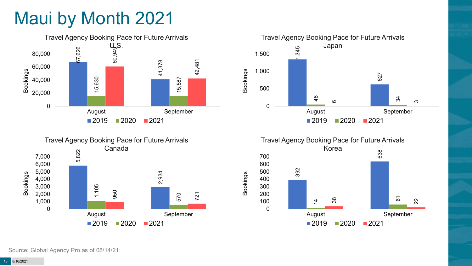# Maui by Month 2021









Source: Global Agency Pro as of 08/14/21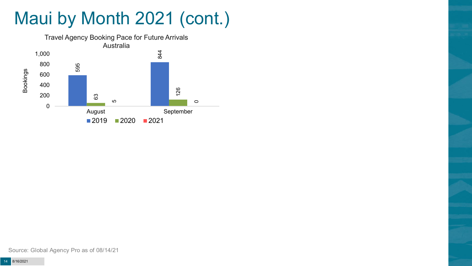# Maui by Month 2021 (cont.)

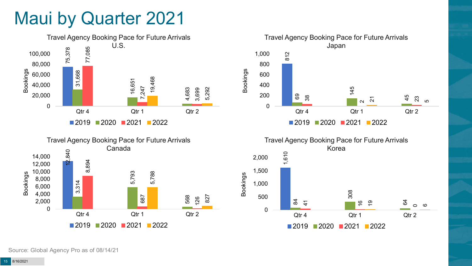### Maui by Quarter 2021







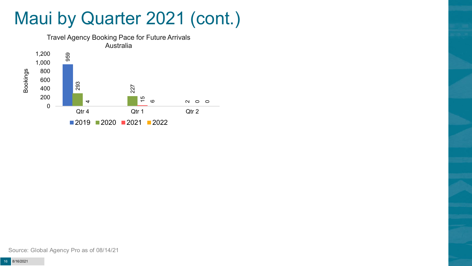### Maui by Quarter 2021 (cont.)

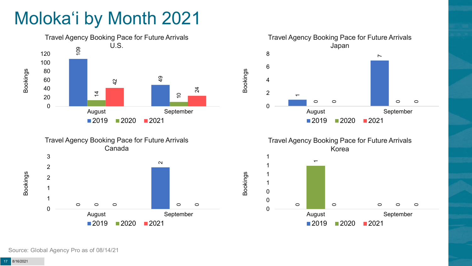# Moloka'i by Month 2021







Travel Agency Booking Pace for Future Arrivals Korea



Bookings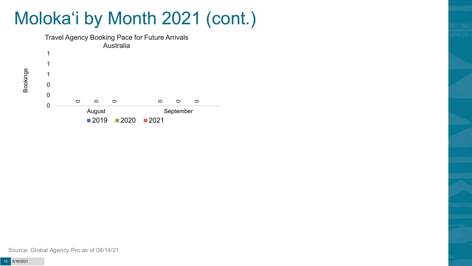## Moloka'i by Month 2021 (cont.)



Bookings

Source: Global Agency Pro as of 08/14/21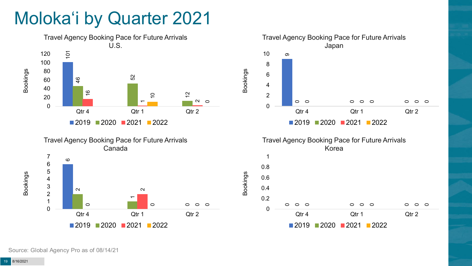## Moloka'i by Quarter 2021









Bookings

2020 2021 2022

Qtr 4 Qtr 1 Qtr 2

Source: Global Agency Pro as of 08/14/21

Bookings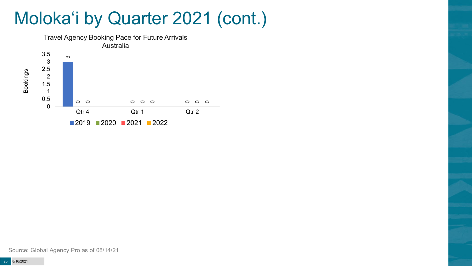### Moloka'i by Quarter 2021 (cont.)



Source: Global Agency Pro as of 08/14/21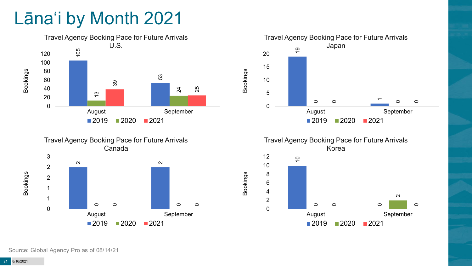## Lāna'i by Month 2021







Travel Agency Booking Pace for Future Arrivals Korea



Bookings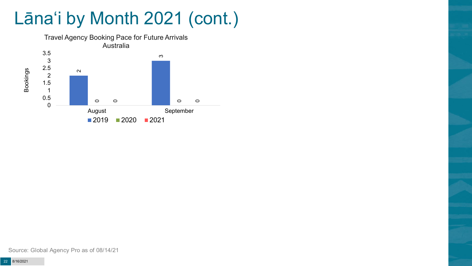# Lāna'i by Month 2021 (cont.)



Source: Global Agency Pro as of 08/14/21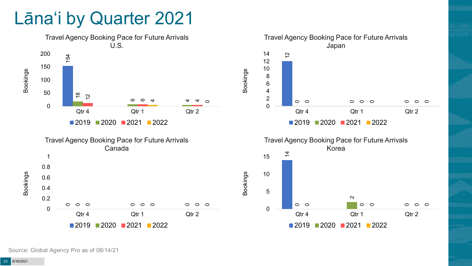#### Lāna'i by Quarter 2021

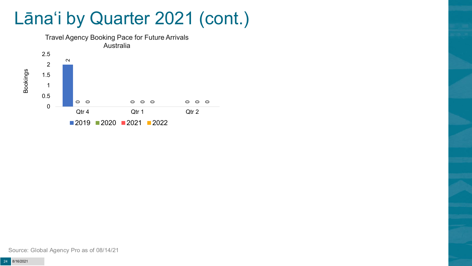### Lāna'i by Quarter 2021 (cont.)



Source: Global Agency Pro as of 08/14/21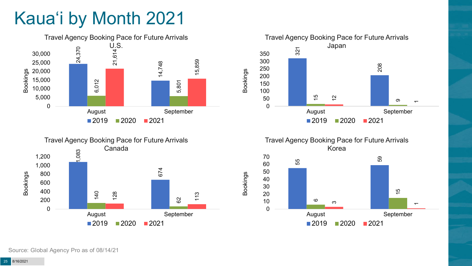# Kaua'i by Month 2021







Travel Agency Booking Pace for Future Arrivals Korea 55 59 615  $\infty$  $\bar{}$ 0 10 20 30 40 50 60 70 August September

 $2019$  2020 2021

Bookings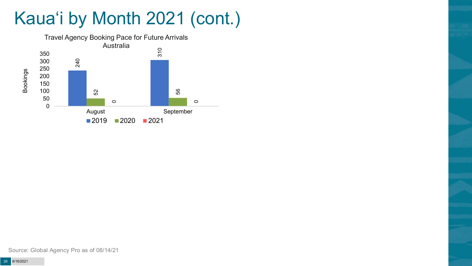# Kaua'i by Month 2021 (cont.)

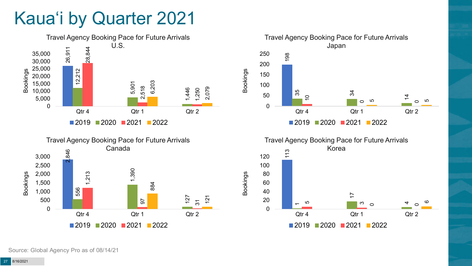## Kaua'i by Quarter 2021







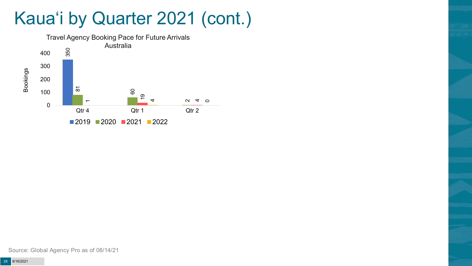### Kaua'i by Quarter 2021 (cont.)

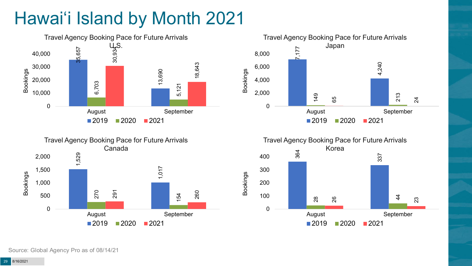# Hawai'i Island by Month 2021







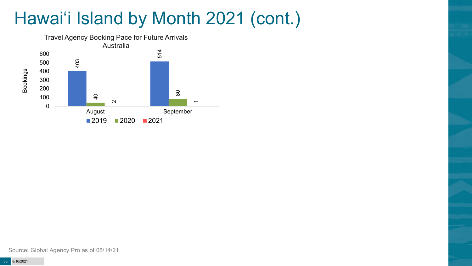# Hawai'i Island by Month 2021 (cont.)

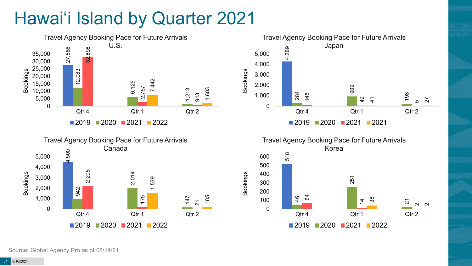# Hawai'i Island by Quarter 2021